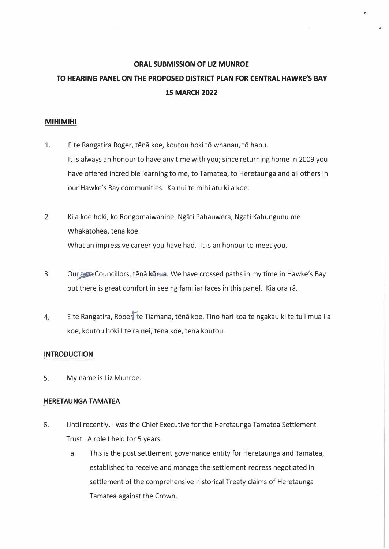#### **ORAL SUBMISSION OF LIZ MUNROE**

..

# **TO HEARING PANEL ON THE PROPOSED DISTRICT PLAN FOR CENTRAL HAWKE'S BAY 15 MARCH 2022**

#### **MIHIMIHI**

- 1. E te Rangatira Roger, tēnā koe, koutou hoki tō whanau, tō hapu. It is always an honour to have any time with you; since returning home in 2009 you have offered incredible learning to me, to Tamatea, to Heretaunga and all others in our Hawke's Bay communities. Ka nui te mihi atu ki a koe.
- 2. Ki a koe hoki, ko Rongomaiwahine, Ngati Pahauwera, Ngati Kahungunu me Whakatohea, tena koe. What an impressive career you have had. It is an honour to meet you.
- 3. Our the Councillors, tena korua. We have crossed paths in my time in Hawke's Bay but there is great comfort in seeing familiar faces in this panel. Kia ora ra.
- 4. E te Rangatira, Rober, te Tiamana, tēnā koe. Tino hari koa te ngakau ki te tu I mua I a koe, koutou hoki I te ra nei, tena koe, tena koutou.

#### **INTRODUCTION**

5. My name is Liz Munroe.

#### **HERETAUNGA TAMATEA**

- 6. Until recently, I was the Chief Executive for the Heretaunga Tamatea Settlement Trust. A role I held for 5 years.
	- a. This is the post settlement governance entity for Heretaunga and Tamatea, established to receive and manage the settlement redress negotiated in settlement of the comprehensive historical Treaty claims of Heretaunga Tamatea against the Crown.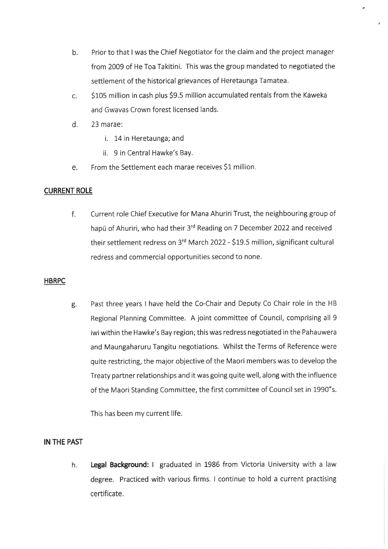- Prior to that I was the Chief Negotiator for the claim and the project manager  $b.$ from 2009 of He Toa Takitini. This was the group mandated to negotiated the settlement of the historical grievances of Heretaunga Tamatea.
- $\mathsf{C}$ . \$105 million in cash plus \$9.5 million accumulated rentals from the Kaweka and Gwavas Crown forest licensed lands.
- d. 23 marae:
	- i. 14 in Heretaunga; and
	- ii. 9 in Central Hawke's Bay.
- e. From the Settlement each marae receives \$1 million.

# **CURRENT ROLE**

Current role Chief Executive for Mana Ahuriri Trust, the neighbouring group of f. hapū of Ahuriri, who had their 3rd Reading on 7 December 2022 and received their settlement redress on 3rd March 2022 - \$19.5 million, significant cultural redress and commercial opportunities second to none.

#### **HBRPC**

Past three years I have held the Co-Chair and Deputy Co Chair role in the HB g. Regional Planning Committee. A joint committee of Council, comprising all 9 iwi within the Hawke's Bay region; this was redress negotiated in the Pahauwera and Maungaharuru Tangitu negotiations. Whilst the Terms of Reference were quite restricting, the major objective of the Maori members was to develop the Treaty partner relationships and it was going quite well, along with the influence of the Maori Standing Committee, the first committee of Council set in 1990"s.

This has been my current life.

# IN THE PAST

Legal Background: I graduated in 1986 from Victoria University with a law h. degree. Practiced with various firms. I continue to hold a current practising certificate.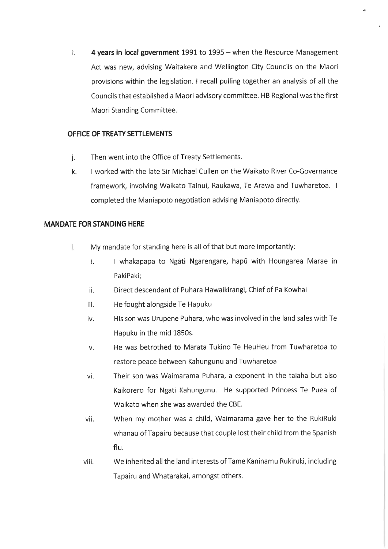4 years in local government 1991 to 1995 - when the Resource Management  $\mathbf{i}$ . Act was new, advising Waitakere and Wellington City Councils on the Maori provisions within the legislation. I recall pulling together an analysis of all the Councils that established a Maori advisory committee. HB Regional was the first Maori Standing Committee.

# OFFICE OF TREATY SETTLEMENTS

- Then went into the Office of Treaty Settlements.  $\mathbf{i}$ .
- I worked with the late Sir Michael Cullen on the Waikato River Co-Governance  $\mathsf{k}$ . framework, involving Waikato Tainui, Raukawa, Te Arawa and Tuwharetoa. I completed the Maniapoto negotiation advising Maniapoto directly.

# **MANDATE FOR STANDING HERE**

- $\mathsf{L}$ My mandate for standing here is all of that but more importantly:
	- I whakapapa to Ngati Ngarengare, hapū with Houngarea Marae in  $\mathbf{i}$ . PakiPaki;
	- ii. Direct descendant of Puhara Hawaikirangi, Chief of Pa Kowhai
	- He fought alongside Te Hapuku iii.
	- His son was Urupene Puhara, who was involved in the land sales with Te iv. Hapuku in the mid 1850s.
	- He was betrothed to Marata Tukino Te HeuHeu from Tuwharetoa to V. restore peace between Kahungunu and Tuwharetoa
	- vi. Their son was Waimarama Puhara, a exponent in the taiaha but also Kaikorero for Ngati Kahungunu. He supported Princess Te Puea of Waikato when she was awarded the CBE.
	- When my mother was a child, Waimarama gave her to the RukiRuki vii. whanau of Tapairu because that couple lost their child from the Spanish flu.
	- We inherited all the land interests of Tame Kaninamu Rukiruki, including viii. Tapairu and Whatarakai, amongst others.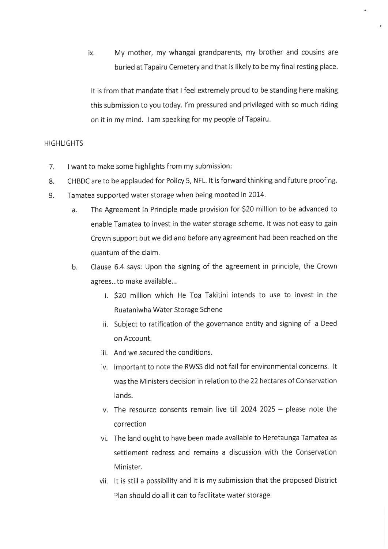My mother, my whangai grandparents, my brother and cousins are ix. buried at Tapairu Cemetery and that is likely to be my final resting place.

It is from that mandate that I feel extremely proud to be standing here making this submission to you today. I'm pressured and privileged with so much riding on it in my mind. I am speaking for my people of Tapairu.

### **HIGHLIGHTS**

- $7<sub>1</sub>$ I want to make some highlights from my submission:
- CHBDC are to be applauded for Policy 5, NFL. It is forward thinking and future proofing. 8.
- Tamatea supported water storage when being mooted in 2014. 9.
	- The Agreement In Principle made provision for \$20 million to be advanced to a. enable Tamatea to invest in the water storage scheme. It was not easy to gain Crown support but we did and before any agreement had been reached on the quantum of the claim.
	- $b.$ Clause 6.4 says: Upon the signing of the agreement in principle, the Crown agrees...to make available...
		- i. \$20 million which He Toa Takitini intends to use to invest in the Ruataniwha Water Storage Schene
		- ii. Subject to ratification of the governance entity and signing of a Deed on Account.
		- iii. And we secured the conditions.
		- iv. Important to note the RWSS did not fail for environmental concerns. It was the Ministers decision in relation to the 22 hectares of Conservation lands.
		- v. The resource consents remain live till 2024 2025 please note the correction
		- vi. The land ought to have been made available to Heretaunga Tamatea as settlement redress and remains a discussion with the Conservation Minister.
		- vii. It is still a possibility and it is my submission that the proposed District Plan should do all it can to facilitate water storage.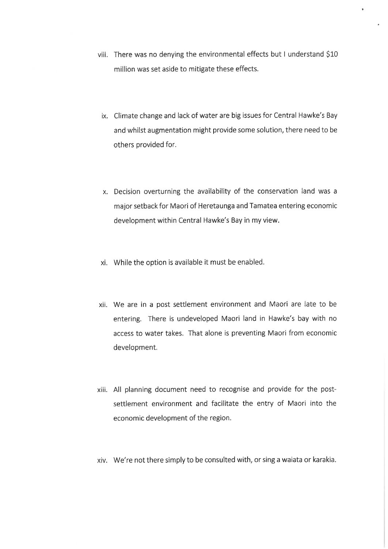- viii. There was no denying the environmental effects but I understand \$10 million was set aside to mitigate these effects.
	- ix. Climate change and lack of water are big issues for Central Hawke's Bay and whilst augmentation might provide some solution, there need to be others provided for.
	- x. Decision overturning the availability of the conservation land was a major setback for Maori of Heretaunga and Tamatea entering economic development within Central Hawke's Bay in my view.
- xi. While the option is available it must be enabled.
- xii. We are in a post settlement environment and Maori are late to be entering. There is undeveloped Maori land in Hawke's bay with no access to water takes. That alone is preventing Maori from economic development.
- xiii. All planning document need to recognise and provide for the postsettlement environment and facilitate the entry of Maori into the economic development of the region.
- xiv. We're not there simply to be consulted with, or sing a waiata or karakia.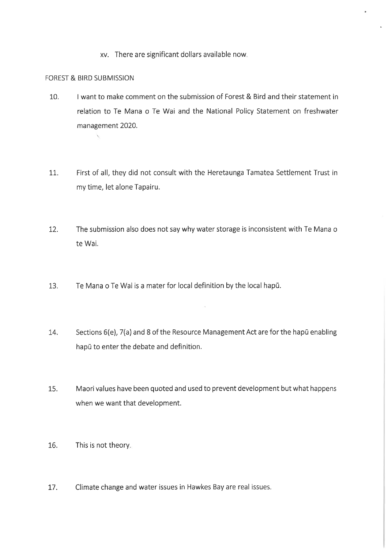xv. There are significant dollars available now.

## FOREST & BIRD SUBMISSION

I want to make comment on the submission of Forest & Bird and their statement in  $10.$ relation to Te Mana o Te Wai and the National Policy Statement on freshwater management 2020.

ä

- 11. First of all, they did not consult with the Heretaunga Tamatea Settlement Trust in my time, let alone Tapairu.
- $12.$ The submission also does not say why water storage is inconsistent with Te Mana o te Wai.
- 13. Te Mana o Te Wai is a mater for local definition by the local hapū.
- Sections 6(e), 7(a) and 8 of the Resource Management Act are for the hapu enabling 14. hapü to enter the debate and definition.

ò.

- 15. Maori values have been quoted and used to prevent development but what happens when we want that development.
- 16. This is not theory.
- 17. Climate change and water issues in Hawkes Bay are real issues.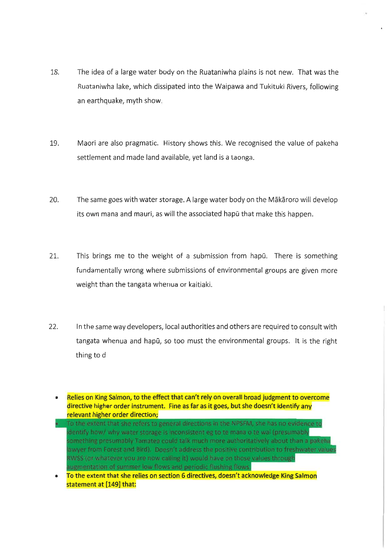- 18. The idea of a large water body on the Ruataniwha plains is not new. That was the Ruataniwha lake, which dissipated into the Waipawa and Tukituki Rivers, following an earthquake, myth show.
- 19. Maori are also pragmatic. History shows this. We recognised the value of pakeha settlement and made land available, yet land is a taonga.
- 20. The same goes with water storage. A large water body on the Mäkaroro will develop its own mana and mauri, as will the associated hapū that make this happen.
- $21.$ This brings me to the weight of a submission from hapū. There is something fundamentally wrong where submissions of environmental groups are given more weight than the tangata whenua or kaitiaki.
- $22.$ In the same way developers, local authorities and others are required to consult with tangata whenua and hapū, so too must the environmental groups. It is the right thing to d
	- Relies on King Salmon, to the effect that can't rely on overall broad judgment to overcome directive higher order instrument. Fine as far as it goes, but she doesn't identify any relevant higher order direction;
	- To the extent that she refers to general directions in the NPSFM, she has no evidence to identify how/ why water storage is inconsistent eg to te mana o te wai (presumably something presumably Tamatea could talk much more authoritatively about than a pakeha lawyer from Forest and Bird). Doesn't address the positive contribution to freshwater values RWSS (or whatever you are now calling it) would have on those values through augmentation of summer low flows and periodic flushing flows.
	- To the extent that she relies on section 6 directives, doesn't acknowledge King Salmon statement at [149] that: